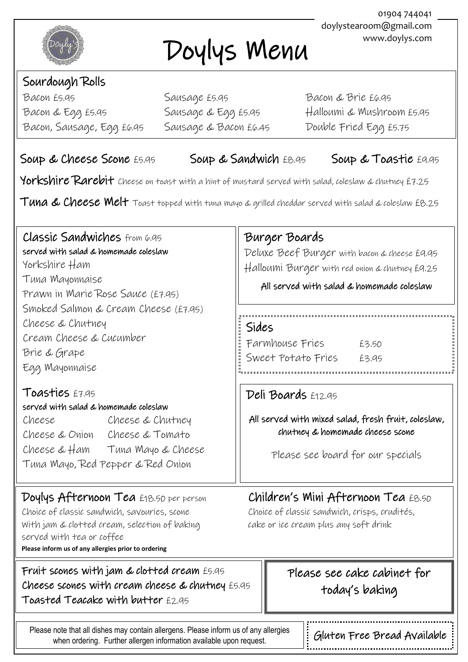

# Doylys Menu

## Sourdough Rolls

Bacon & Egg £5.95 Bacon, Sausage, Egg £6.95 Sausage & Bacon £6.45 Double Fried Egg £5.75  $\overline{a}$ Bacon £5.95 Sausage £5.95 Bacon & Brie £6.95

Sausage & Egg £5.95 Halloumi & Mushroom £5.95

Deluxe Beef Burger with bacon & cheese £9.95 Halloumi Burger with red onion & chutney £9.25

All served with salad & homemade coleslaw

All served with mixed salad, fresh fruit, coleslaw, chutney & homemade cheese scone

Please see board for our specials

 $\overline{\phantom{a}}$ 

#### Soup & Cheese Scone E5.95 Soup & Sandwich E8.95 Soup & Toastie E9.95

Burger Boards

Sides

Deli Boards £12.95

Farmhouse Fries £3.50 Sweet Potato Fries £3.95

Yorkshire Rarebit cheese on toast with a hint of mustard served with salad, coleslaw & chutney £7.25

Tuna & Cheese Melt Toast topped with tuna mayo & grilled cheddar served with salad & coleslaw £8.25

## Classic Sandwiches from 6.95

 Yorkshire Ham Tuna Mayonnaise served with salad & homemade coleslaw Prawn in Marie Rose Sauce (£7.95) Smoked Salmon & Cream Cheese (£7.95) Cheese & Chutney Cream Cheese & Cucumber Brie & Grape Egg Mayonnaise

#### Toasties £7.95

served with salad & homemade coleslaw

Cheese Cheese & Chutney Cheese & Onion Cheese & Tomato Cheese & Ham Tuna Mayo & Cheese Tuna Mayo, Red Pepper & Red Onion

#### Doylys Afternoon Tea £18.50 per person Children's Mini Afternoon Tea £8.50 Choice of classic sandwich, savouries, scone Choice of classic sandwich, crisps, crudités,

With jam & clotted cream, selection of baking cake or ice cream plus any soft drink served with tea or coffee **Please inform us of any allergies prior to ordering**

 Fruit scones with jam & clotted cream £5.95 Cheese scones with cream cheese & chutney £5.95 Toasted Teacake with butter £2.95

#### Please see cake cabinet for today's baking

1

Please note that all dishes may contain allergens. Please inform us of any allergies when ordering. Further allergen information available upon request.

 $\overline{a}$ 

Gluten Free Bread Available

01904 744041 doylystearoom@gmail.com www.doylys.com